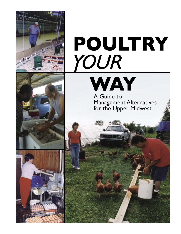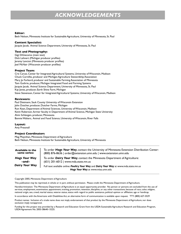# *ACKNOWLEDGEMENTS*

## **Editor:**

Beth Nelson, Minnesota Institute for Sustainable Agriculture, University of Minnesota, St. Paul

#### **Content Specialist:**

Jacquie Jacob, Animal Science Department, University of Minnesota, St. Paul

# **Text and Photography:**

Gigi DiGiacomo (main text) Dick Lehnert (Michigan producer profiles) Jeremy Lanctot (Minnesota producer profiles) Joel McNair (Wisconsin producer profiles)

# **Project Team:**

Cris Carusi, Center for Integrated Agricultural Systems, University of Wisconsin, Madison Chuck Cornillie, producer and Michigan Agriculture Stewardship Association Mary Jo Forbord, producer and Sustainable Farming Association of Minnesota Tom Guthrie, producer, Michigan Integrated Food and Farming Systems Jacquie Jacob, Animal Science Department, University of Minnesota, St. Paul Kay Jones, producer, Earth Shine Farm, Michigan Steve Stevenson, Center for Integrated Agricultural Systems, University of Wisconsin, Madison

## **Reviewers:**

Paul Dietmann, Sauk County University of Wisconsin Extension John Dutcher, producer, Dutcher Farms, Michigan Ron Kean, Department of Animal Sciences, University of Wisconsin, Madison Kevin Roberson, former faculty in Department of Animal Science, Michigan State University Alvin Schlangen, producer, Minnesota Bonnie Walters, Animal and Food Science, University of Wisconsin, River Falls

#### **Layout:**

Amy Pressnall

# **Project Coordinators**

Meg Moynihan, Minnesota Department of Agriculture Beth Nelson, Minnesota Institute for Sustainable Agriculture, University of Minnesota

| <b>Available in the</b> | To order Hogs Your Way, contact the University of Minnesota Extension Distribution Center:                                                |
|-------------------------|-------------------------------------------------------------------------------------------------------------------------------------------|
| same series:            | (800) 876-8636   order@extension.umn.edu   www.extension.umn.edu                                                                          |
| <b>Hogs Your Way</b>    | To order <b>Dairy Your Way</b> , contact the Minnesota Department of Agriculture:                                                         |
| $-$ and $-$             | (651) 201-6012   www.mda.state.mn.us                                                                                                      |
| <b>Dairy Your Way</b>   | Full text available online: <b>Poultry Your Way</b> and <b>Dairy Your Way</b> at www.mda.state.mn.us<br>Hogs Your Way at www.misa.umn.edu |

#### Copyright 2005, Minnesota Department of Agriculture

This publication may be reprinted, in whole or in part, without permission. Please credit the Minnesota Department of Agriculture.

Nondiscrimination: The Minnesota Department of Agriculture is an equal opportunity provider. No person or persons are excluded from the use of services, employment, examination, appointment, training, promotion, retention, discipline, or any other transactions, because of race, color, religion, national origin, sex, creed, marital status, veteran status, status with regard to public assistance, political opinion or affiliation, age or handicap.

In accordance with the Americans with Disabilities Act, an alternative form of communication is available upon request. TTY: (800) 627-3529

Product names: Inclusion of a trade name does not imply endorsement of that product by the Minnesota Department of Agriculture, nor does exclusion imply nonapproval.

Funding for this project was provided by a Research and Education Grant from the USDA-Sustainable Agriculture Research and Education Program, USDA Agreement No. 2003-38640-13225.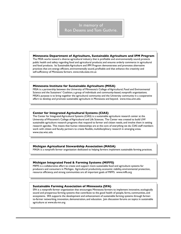# In memory of Ron Desens and Tom Guthrie.

#### **Minnesota Department of Agriculture, Sustainable Agriculture and IPM Program**

The MDA works toward a diverse agricultural industry that is profitable and environmentally sound; protects public health and safety regarding food and agricultural products; and ensures orderly commerce in agricultural and food products. Its Sustainable Agriculture and IPM Program demonstrates and promotes alternative practices that are energy efficient, environmentally sound, profitable and that enhance the creativity and self-sufficiency of Minnesota farmers. www.mda.state.mn.us

# **Minnesota Institute for Sustainable Agriculture (MISA)**

MISA is a partnership between the University of Minnesota's College of Agricultural, Food and Environmental Science and the Sustainers' Coalition, a group of individuals and community-based, nonprofit organizations. MISA's purpose is to bring together the agricultural community and the University community in a cooperative effort to develop and promote sustainable agriculture in Minnesota and beyond. www.misa.umn.edu

# **Center for Integrated Agricultural Systems (CIAS)**

The Center for Integrated Agricultural Systems (CIAS) is a sustainable agriculture research center at the University of Wisconsin's College of Agricultural and Life Sciences. The Center was created to build UW sustainable agriculture research programs that respond to farmer and citizen needs, and involve them in setting research agendas. This means that human relationships are at the core of everything we do. CIAS staff members work with citizen and faculty partners to create flexible, multidisciplinary research in emerging areas. www.cias.wisc.edu

#### **Michigan Agricultural Stewardship Association (MASA)**

MASA is a nonprofit farmer organization dedicated to helping farmers implement sustainable farming practices.

# **Michigan Integrated Food & Farming Systems (MIFFS)**

MIFFS is a collaborative effort to create and support more sustainable food and agriculture systems for producers and consumers in Michigan. Agricultural productivity, economic viability, environmental protection, resource efficiency, and strong communities are all important goals of MIFFS. www.miffs.org

#### **Sustainable Farming Association of Minnesota (SFA)**

SFA is a nonprofit farmer organization that encourages Minnesota farmers to implement innovative, ecologically sound and prosperous farming systems that contribute to the good health of people, farms, communities, and ecosystems. SFA supports the development and enhancement of sustainable farming systems through farmerto-farmer networking, innovation, demonstration, and education. Join discussion forums on topics in sustainable agriculture at www.sfa-mn.org